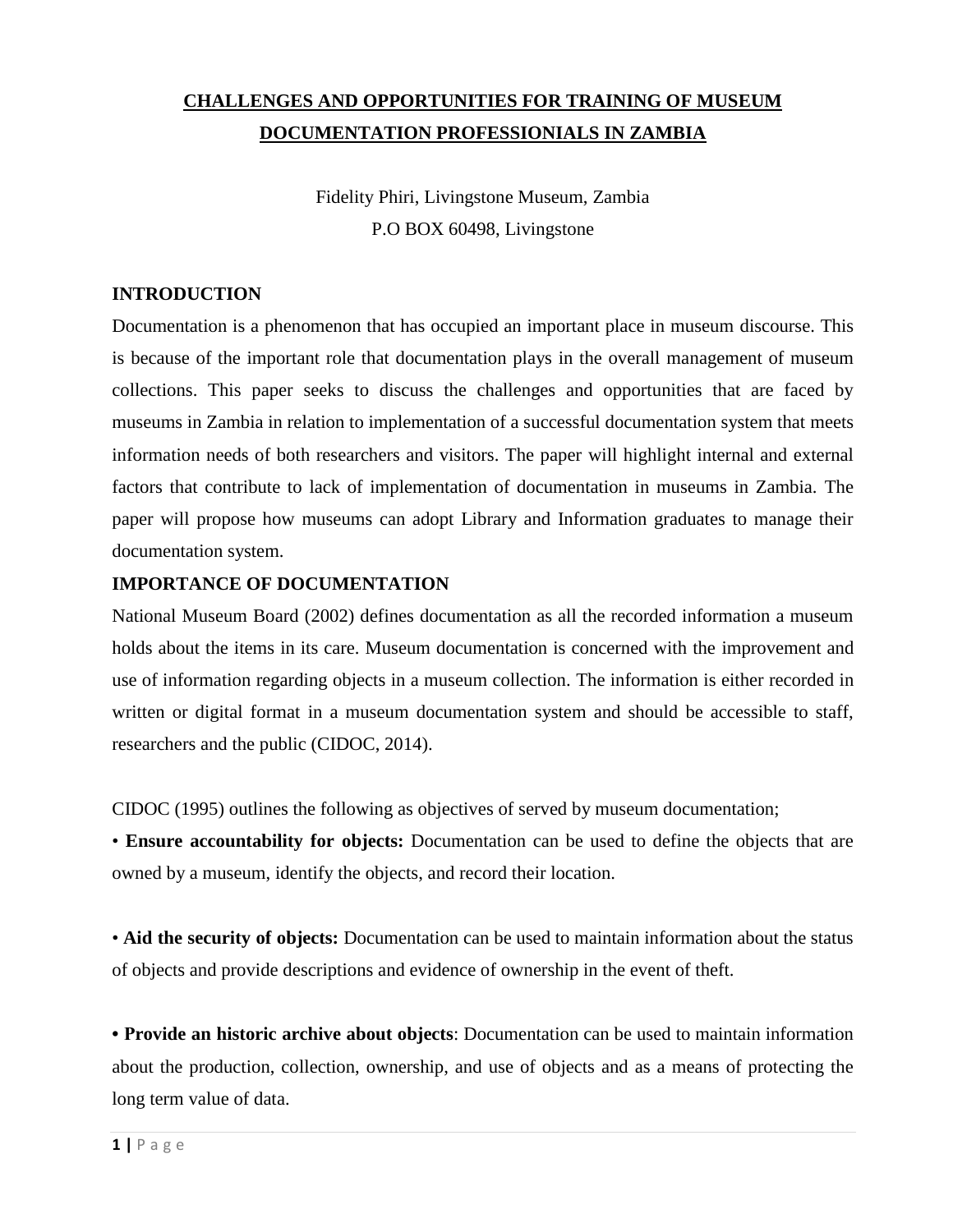## **CHALLENGES AND OPPORTUNITIES FOR TRAINING OF MUSEUM DOCUMENTATION PROFESSIONIALS IN ZAMBIA**

Fidelity Phiri, Livingstone Museum, Zambia P.O BOX 60498, Livingstone

#### **INTRODUCTION**

Documentation is a phenomenon that has occupied an important place in museum discourse. This is because of the important role that documentation plays in the overall management of museum collections. This paper seeks to discuss the challenges and opportunities that are faced by museums in Zambia in relation to implementation of a successful documentation system that meets information needs of both researchers and visitors. The paper will highlight internal and external factors that contribute to lack of implementation of documentation in museums in Zambia. The paper will propose how museums can adopt Library and Information graduates to manage their documentation system.

#### **IMPORTANCE OF DOCUMENTATION**

National Museum Board (2002) defines documentation as all the recorded information a museum holds about the items in its care. Museum documentation is concerned with the improvement and use of information regarding objects in a museum collection. The information is either recorded in written or digital format in a museum documentation system and should be accessible to staff, researchers and the public (CIDOC, 2014).

CIDOC (1995) outlines the following as objectives of served by museum documentation;

• **Ensure accountability for objects:** Documentation can be used to define the objects that are owned by a museum, identify the objects, and record their location.

• **Aid the security of objects:** Documentation can be used to maintain information about the status of objects and provide descriptions and evidence of ownership in the event of theft.

**• Provide an historic archive about objects**: Documentation can be used to maintain information about the production, collection, ownership, and use of objects and as a means of protecting the long term value of data.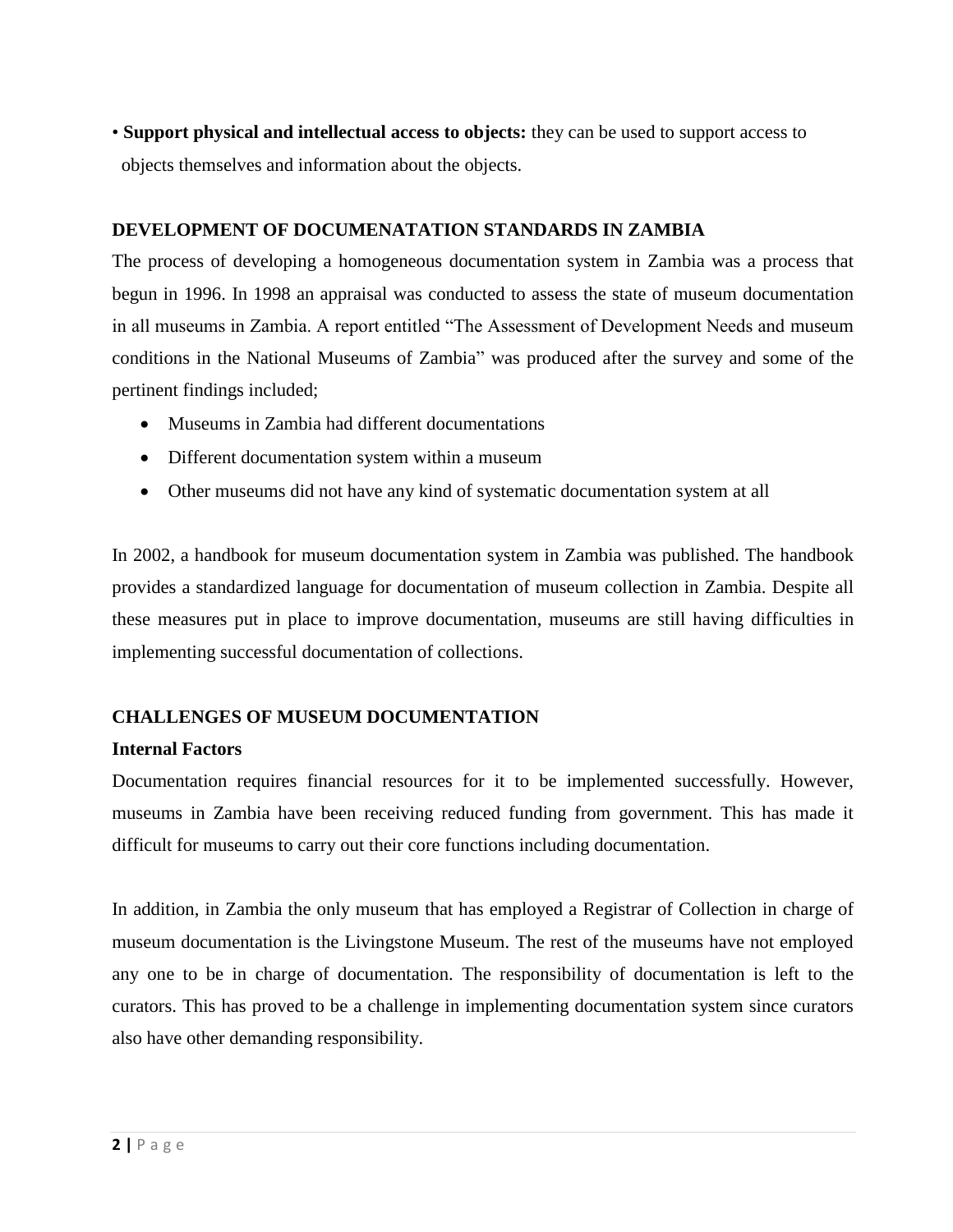• **Support physical and intellectual access to objects:** they can be used to support access to objects themselves and information about the objects.

#### **DEVELOPMENT OF DOCUMENATATION STANDARDS IN ZAMBIA**

The process of developing a homogeneous documentation system in Zambia was a process that begun in 1996. In 1998 an appraisal was conducted to assess the state of museum documentation in all museums in Zambia. A report entitled "The Assessment of Development Needs and museum conditions in the National Museums of Zambia" was produced after the survey and some of the pertinent findings included;

- Museums in Zambia had different documentations
- Different documentation system within a museum
- Other museums did not have any kind of systematic documentation system at all

In 2002, a handbook for museum documentation system in Zambia was published. The handbook provides a standardized language for documentation of museum collection in Zambia. Despite all these measures put in place to improve documentation, museums are still having difficulties in implementing successful documentation of collections.

### **CHALLENGES OF MUSEUM DOCUMENTATION**

### **Internal Factors**

Documentation requires financial resources for it to be implemented successfully. However, museums in Zambia have been receiving reduced funding from government. This has made it difficult for museums to carry out their core functions including documentation.

In addition, in Zambia the only museum that has employed a Registrar of Collection in charge of museum documentation is the Livingstone Museum. The rest of the museums have not employed any one to be in charge of documentation. The responsibility of documentation is left to the curators. This has proved to be a challenge in implementing documentation system since curators also have other demanding responsibility.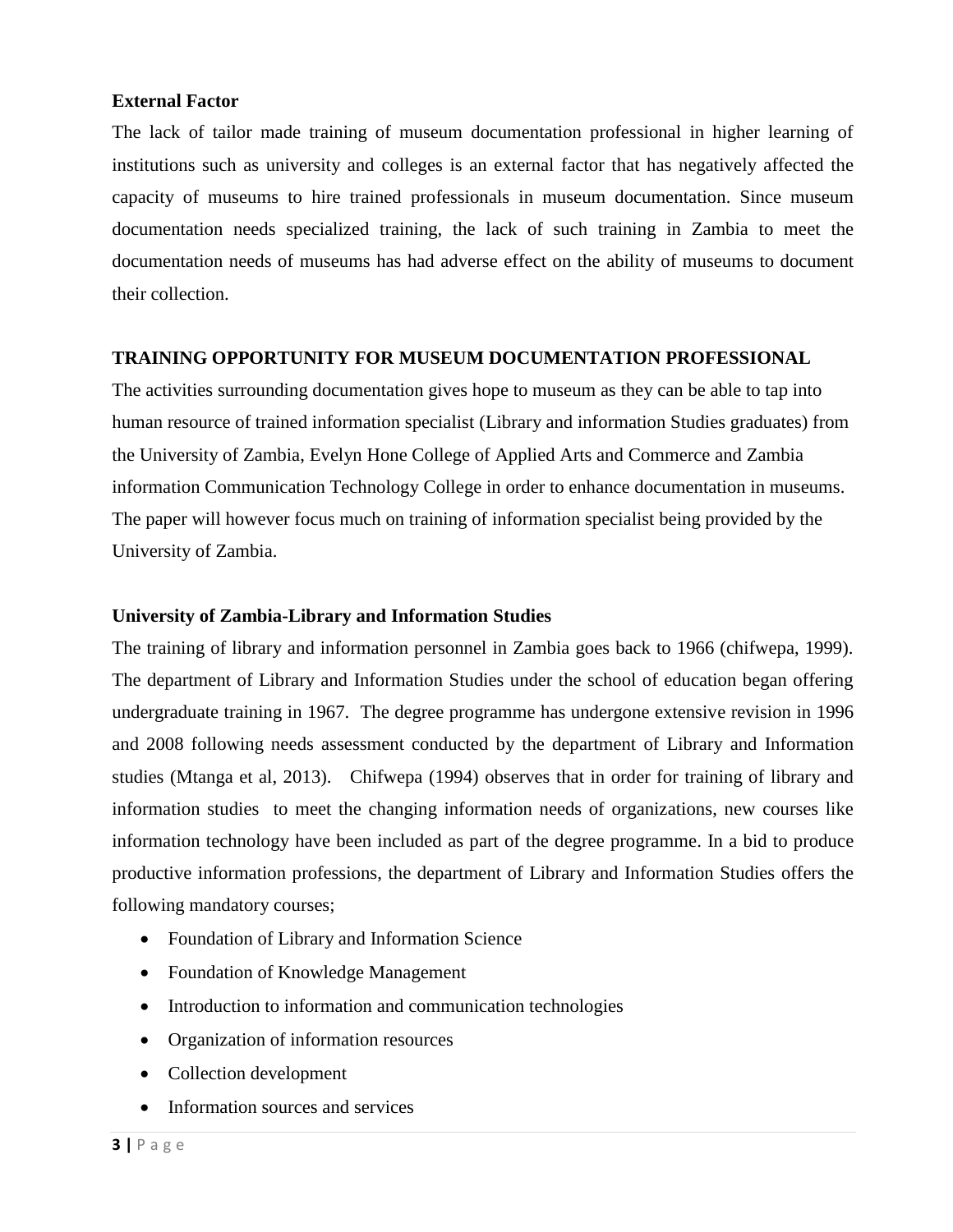#### **External Factor**

The lack of tailor made training of museum documentation professional in higher learning of institutions such as university and colleges is an external factor that has negatively affected the capacity of museums to hire trained professionals in museum documentation. Since museum documentation needs specialized training, the lack of such training in Zambia to meet the documentation needs of museums has had adverse effect on the ability of museums to document their collection.

#### **TRAINING OPPORTUNITY FOR MUSEUM DOCUMENTATION PROFESSIONAL**

The activities surrounding documentation gives hope to museum as they can be able to tap into human resource of trained information specialist (Library and information Studies graduates) from the University of Zambia, Evelyn Hone College of Applied Arts and Commerce and Zambia information Communication Technology College in order to enhance documentation in museums. The paper will however focus much on training of information specialist being provided by the University of Zambia.

#### **University of Zambia-Library and Information Studies**

The training of library and information personnel in Zambia goes back to 1966 (chifwepa, 1999). The department of Library and Information Studies under the school of education began offering undergraduate training in 1967. The degree programme has undergone extensive revision in 1996 and 2008 following needs assessment conducted by the department of Library and Information studies (Mtanga et al, 2013). Chifwepa (1994) observes that in order for training of library and information studies to meet the changing information needs of organizations, new courses like information technology have been included as part of the degree programme. In a bid to produce productive information professions, the department of Library and Information Studies offers the following mandatory courses;

- Foundation of Library and Information Science
- Foundation of Knowledge Management
- Introduction to information and communication technologies
- Organization of information resources
- Collection development
- Information sources and services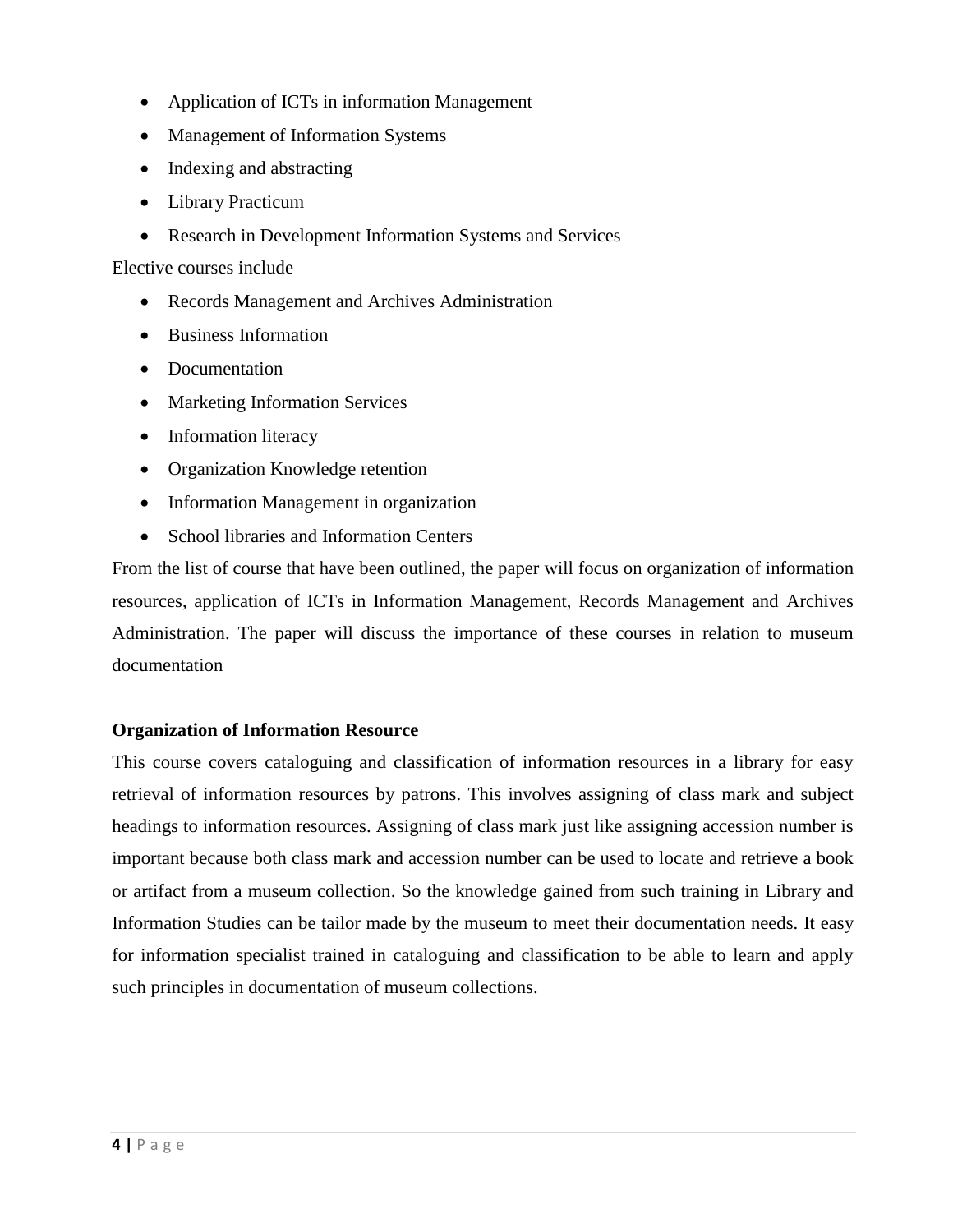- Application of ICTs in information Management
- Management of Information Systems
- Indexing and abstracting
- Library Practicum
- Research in Development Information Systems and Services

Elective courses include

- Records Management and Archives Administration
- Business Information
- Documentation
- Marketing Information Services
- Information literacy
- Organization Knowledge retention
- Information Management in organization
- School libraries and Information Centers

From the list of course that have been outlined, the paper will focus on organization of information resources, application of ICTs in Information Management, Records Management and Archives Administration. The paper will discuss the importance of these courses in relation to museum documentation

### **Organization of Information Resource**

This course covers cataloguing and classification of information resources in a library for easy retrieval of information resources by patrons. This involves assigning of class mark and subject headings to information resources. Assigning of class mark just like assigning accession number is important because both class mark and accession number can be used to locate and retrieve a book or artifact from a museum collection. So the knowledge gained from such training in Library and Information Studies can be tailor made by the museum to meet their documentation needs. It easy for information specialist trained in cataloguing and classification to be able to learn and apply such principles in documentation of museum collections.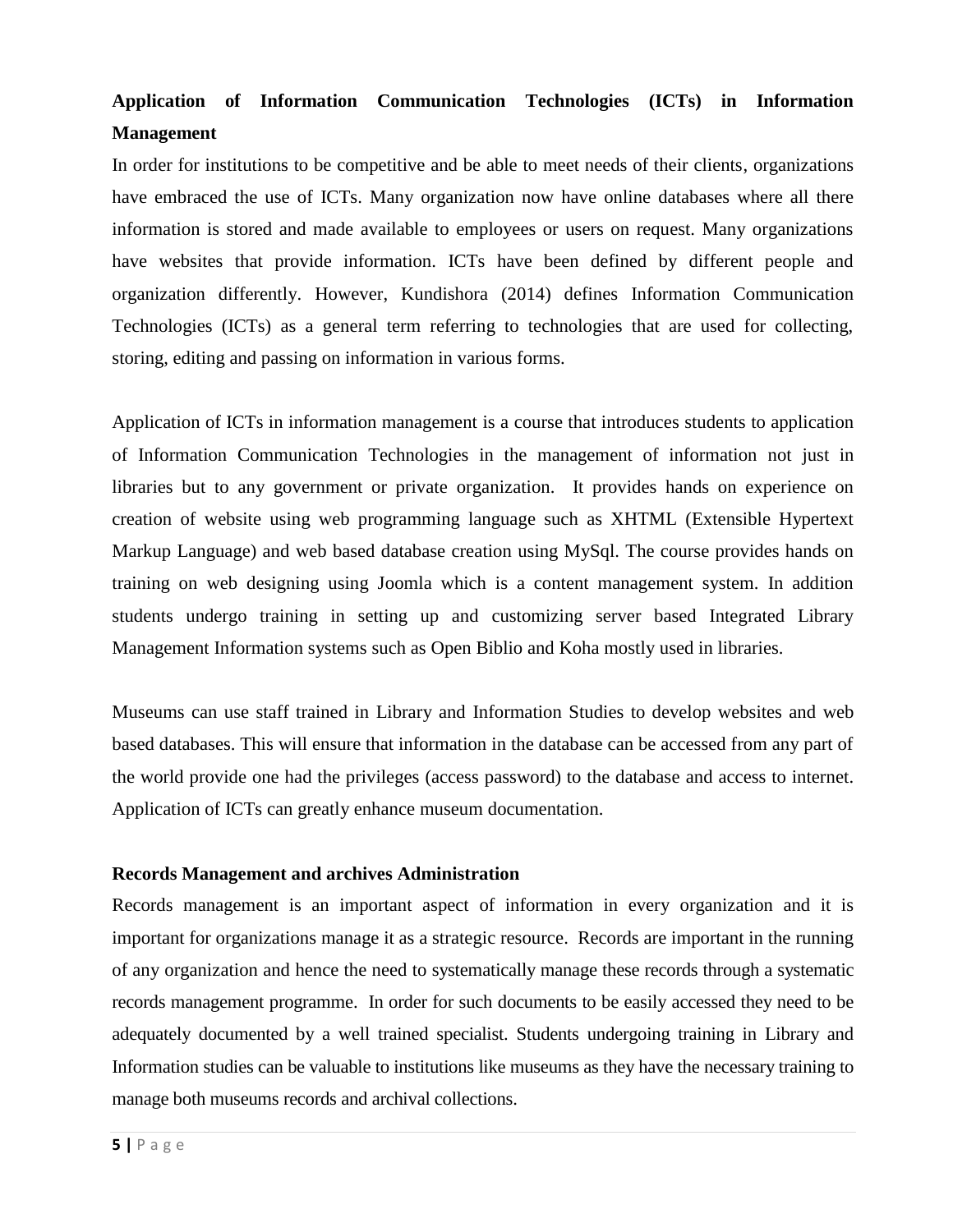# **Application of Information Communication Technologies (ICTs) in Information Management**

In order for institutions to be competitive and be able to meet needs of their clients, organizations have embraced the use of ICTs. Many organization now have online databases where all there information is stored and made available to employees or users on request. Many organizations have websites that provide information. ICTs have been defined by different people and organization differently. However, Kundishora (2014) defines Information Communication Technologies (ICTs) as a general term referring to technologies that are used for collecting, storing, editing and passing on information in various forms.

Application of ICTs in information management is a course that introduces students to application of Information Communication Technologies in the management of information not just in libraries but to any government or private organization. It provides hands on experience on creation of website using web programming language such as XHTML (Extensible Hypertext Markup Language) and web based database creation using MySql. The course provides hands on training on web designing using Joomla which is a content management system. In addition students undergo training in setting up and customizing server based Integrated Library Management Information systems such as Open Biblio and Koha mostly used in libraries.

Museums can use staff trained in Library and Information Studies to develop websites and web based databases. This will ensure that information in the database can be accessed from any part of the world provide one had the privileges (access password) to the database and access to internet. Application of ICTs can greatly enhance museum documentation.

#### **Records Management and archives Administration**

Records management is an important aspect of information in every organization and it is important for organizations manage it as a strategic resource. Records are important in the running of any organization and hence the need to systematically manage these records through a systematic records management programme. In order for such documents to be easily accessed they need to be adequately documented by a well trained specialist. Students undergoing training in Library and Information studies can be valuable to institutions like museums as they have the necessary training to manage both museums records and archival collections.